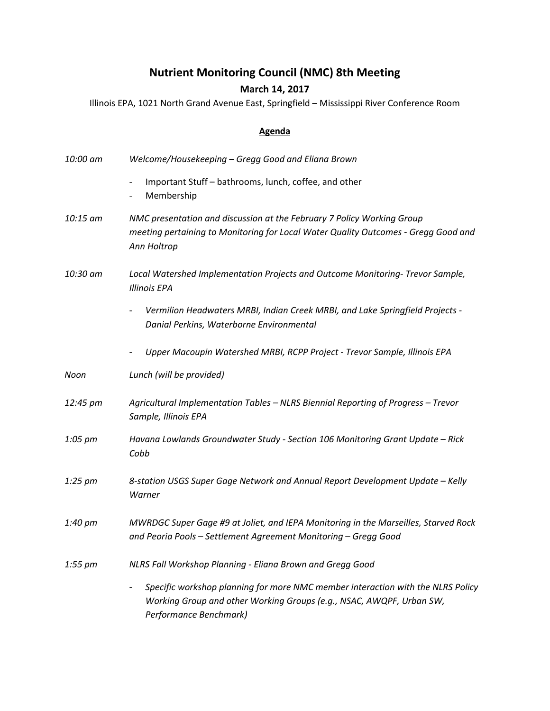## **Nutrient Monitoring Council (NMC) 8th Meeting**

## **March 14, 2017**

Illinois EPA, 1021 North Grand Avenue East, Springfield – Mississippi River Conference Room

## **Agenda**

| 10:00 am | Welcome/Housekeeping - Gregg Good and Eliana Brown                                                                                                                                                     |
|----------|--------------------------------------------------------------------------------------------------------------------------------------------------------------------------------------------------------|
|          | Important Stuff - bathrooms, lunch, coffee, and other<br>$\overline{\phantom{a}}$<br>Membership<br>$\qquad \qquad -$                                                                                   |
| 10:15 am | NMC presentation and discussion at the February 7 Policy Working Group<br>meeting pertaining to Monitoring for Local Water Quality Outcomes - Gregg Good and<br>Ann Holtrop                            |
| 10:30 am | Local Watershed Implementation Projects and Outcome Monitoring- Trevor Sample,<br><b>Illinois EPA</b>                                                                                                  |
|          | Vermilion Headwaters MRBI, Indian Creek MRBI, and Lake Springfield Projects -<br>Danial Perkins, Waterborne Environmental                                                                              |
|          | Upper Macoupin Watershed MRBI, RCPP Project - Trevor Sample, Illinois EPA                                                                                                                              |
| Noon     | Lunch (will be provided)                                                                                                                                                                               |
| 12:45 pm | Agricultural Implementation Tables - NLRS Biennial Reporting of Progress - Trevor<br>Sample, Illinois EPA                                                                                              |
| 1:05 pm  | Havana Lowlands Groundwater Study - Section 106 Monitoring Grant Update - Rick<br>Cobb                                                                                                                 |
| 1:25 pm  | 8-station USGS Super Gage Network and Annual Report Development Update - Kelly<br>Warner                                                                                                               |
| 1:40 pm  | MWRDGC Super Gage #9 at Joliet, and IEPA Monitoring in the Marseilles, Starved Rock<br>and Peoria Pools - Settlement Agreement Monitoring - Gregg Good                                                 |
| 1:55 pm  | NLRS Fall Workshop Planning - Eliana Brown and Gregg Good                                                                                                                                              |
|          | Specific workshop planning for more NMC member interaction with the NLRS Policy<br>$\qquad \qquad -$<br>Working Group and other Working Groups (e.g., NSAC, AWQPF, Urban SW,<br>Performance Benchmark) |